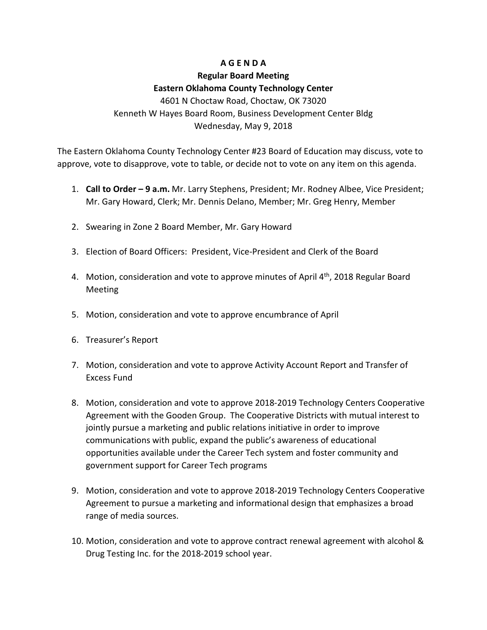## **A G E N D A**

# **Regular Board Meeting Eastern Oklahoma County Technology Center**

4601 N Choctaw Road, Choctaw, OK 73020 Kenneth W Hayes Board Room, Business Development Center Bldg Wednesday, May 9, 2018

The Eastern Oklahoma County Technology Center #23 Board of Education may discuss, vote to approve, vote to disapprove, vote to table, or decide not to vote on any item on this agenda.

- 1. **Call to Order – 9 a.m.** Mr. Larry Stephens, President; Mr. Rodney Albee, Vice President; Mr. Gary Howard, Clerk; Mr. Dennis Delano, Member; Mr. Greg Henry, Member
- 2. Swearing in Zone 2 Board Member, Mr. Gary Howard
- 3. Election of Board Officers: President, Vice-President and Clerk of the Board
- 4. Motion, consideration and vote to approve minutes of April  $4<sup>th</sup>$ , 2018 Regular Board Meeting
- 5. Motion, consideration and vote to approve encumbrance of April
- 6. Treasurer's Report
- 7. Motion, consideration and vote to approve Activity Account Report and Transfer of Excess Fund
- 8. Motion, consideration and vote to approve 2018-2019 Technology Centers Cooperative Agreement with the Gooden Group. The Cooperative Districts with mutual interest to jointly pursue a marketing and public relations initiative in order to improve communications with public, expand the public's awareness of educational opportunities available under the Career Tech system and foster community and government support for Career Tech programs
- 9. Motion, consideration and vote to approve 2018-2019 Technology Centers Cooperative Agreement to pursue a marketing and informational design that emphasizes a broad range of media sources.
- 10. Motion, consideration and vote to approve contract renewal agreement with alcohol & Drug Testing Inc. for the 2018-2019 school year.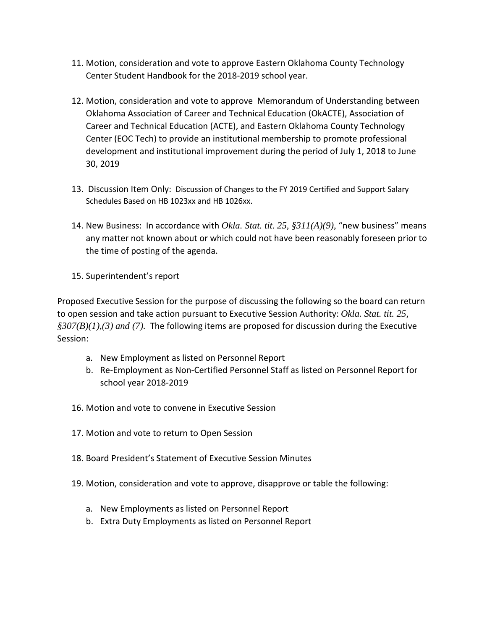- 11. Motion, consideration and vote to approve Eastern Oklahoma County Technology Center Student Handbook for the 2018-2019 school year.
- 12. Motion, consideration and vote to approve Memorandum of Understanding between Oklahoma Association of Career and Technical Education (OkACTE), Association of Career and Technical Education (ACTE), and Eastern Oklahoma County Technology Center (EOC Tech) to provide an institutional membership to promote professional development and institutional improvement during the period of July 1, 2018 to June 30, 2019
- 13. Discussion Item Only: Discussion of Changes to the FY 2019 Certified and Support Salary Schedules Based on HB 1023xx and HB 1026xx.
- 14. New Business: In accordance with *Okla. Stat. tit. 25, §311(A)(9)*, "new business" means any matter not known about or which could not have been reasonably foreseen prior to the time of posting of the agenda.
- 15. Superintendent's report

Proposed Executive Session for the purpose of discussing the following so the board can return to open session and take action pursuant to Executive Session Authority: *Okla. Stat. tit. 25, §307(B)(1),(3) and (7).* The following items are proposed for discussion during the Executive Session:

- a. New Employment as listed on Personnel Report
- b. Re-Employment as Non-Certified Personnel Staff as listed on Personnel Report for school year 2018-2019
- 16. Motion and vote to convene in Executive Session
- 17. Motion and vote to return to Open Session
- 18. Board President's Statement of Executive Session Minutes
- 19. Motion, consideration and vote to approve, disapprove or table the following:
	- a. New Employments as listed on Personnel Report
	- b. Extra Duty Employments as listed on Personnel Report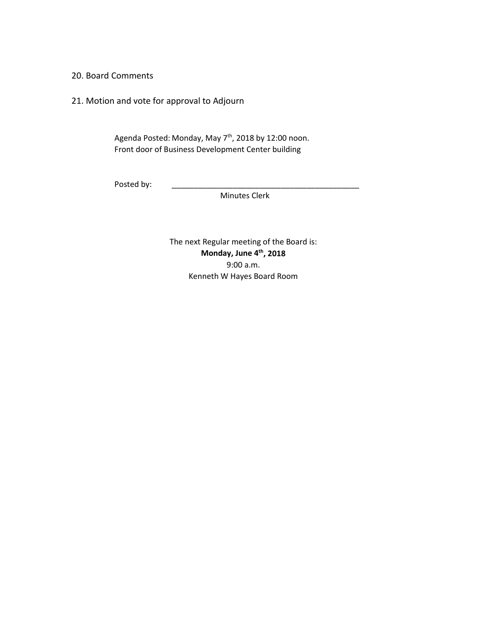20. Board Comments

21. Motion and vote for approval to Adjourn

Agenda Posted: Monday, May 7<sup>th</sup>, 2018 by 12:00 noon. Front door of Business Development Center building

Posted by:

Minutes Clerk

The next Regular meeting of the Board is: **Monday, June 4th, 2018** 9:00 a.m. Kenneth W Hayes Board Room